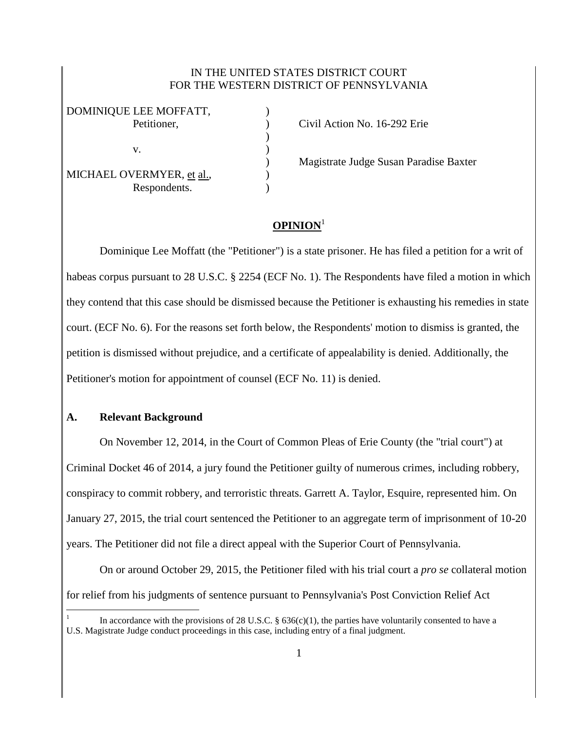## IN THE UNITED STATES DISTRICT COURT FOR THE WESTERN DISTRICT OF PENNSYLVANIA

| DOMINIQUE LEE MOFFATT,    |  |
|---------------------------|--|
| Petitioner,               |  |
|                           |  |
| V.                        |  |
|                           |  |
| MICHAEL OVERMYER, et al., |  |
| Respondents.              |  |

Petition No. 16-292 Erie

) Magistrate Judge Susan Paradise Baxter

## **OPINION**<sup>1</sup>

Dominique Lee Moffatt (the "Petitioner") is a state prisoner. He has filed a petition for a writ of habeas corpus pursuant to 28 U.S.C. § 2254 (ECF No. 1). The Respondents have filed a motion in which they contend that this case should be dismissed because the Petitioner is exhausting his remedies in state court. (ECF No. 6). For the reasons set forth below, the Respondents' motion to dismiss is granted, the petition is dismissed without prejudice, and a certificate of appealability is denied. Additionally, the Petitioner's motion for appointment of counsel (ECF No. 11) is denied.

## **A. Relevant Background**

 $\overline{a}$ 

On November 12, 2014, in the Court of Common Pleas of Erie County (the "trial court") at Criminal Docket 46 of 2014, a jury found the Petitioner guilty of numerous crimes, including robbery, conspiracy to commit robbery, and terroristic threats. Garrett A. Taylor, Esquire, represented him. On January 27, 2015, the trial court sentenced the Petitioner to an aggregate term of imprisonment of 10-20 years. The Petitioner did not file a direct appeal with the Superior Court of Pennsylvania.

On or around October 29, 2015, the Petitioner filed with his trial court a *pro se* collateral motion for relief from his judgments of sentence pursuant to Pennsylvania's Post Conviction Relief Act

<sup>1</sup> In accordance with the provisions of 28 U.S.C. §  $636(c)(1)$ , the parties have voluntarily consented to have a U.S. Magistrate Judge conduct proceedings in this case, including entry of a final judgment.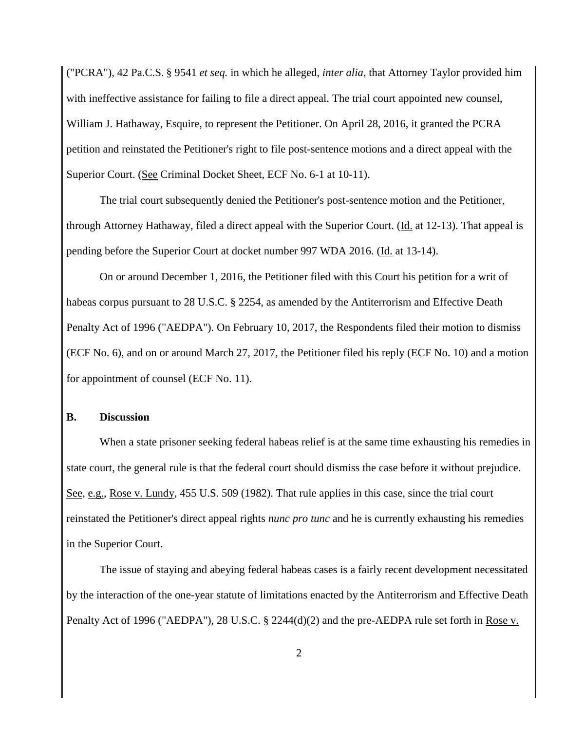("PCRA"), 42 Pa.C.S. § 9541 *et seq.* in which he alleged, *inter alia*, that Attorney Taylor provided him with ineffective assistance for failing to file a direct appeal. The trial court appointed new counsel, William J. Hathaway, Esquire, to represent the Petitioner. On April 28, 2016, it granted the PCRA petition and reinstated the Petitioner's right to file post-sentence motions and a direct appeal with the Superior Court. (See Criminal Docket Sheet, ECF No. 6-1 at 10-11).

The trial court subsequently denied the Petitioner's post-sentence motion and the Petitioner, through Attorney Hathaway, filed a direct appeal with the Superior Court. (Id. at 12-13). That appeal is pending before the Superior Court at docket number 997 WDA 2016. (Id. at 13-14).

On or around December 1, 2016, the Petitioner filed with this Court his petition for a writ of habeas corpus pursuant to 28 U.S.C. § 2254, as amended by the Antiterrorism and Effective Death Penalty Act of 1996 ("AEDPA"). On February 10, 2017, the Respondents filed their motion to dismiss (ECF No. 6), and on or around March 27, 2017, the Petitioner filed his reply (ECF No. 10) and a motion for appointment of counsel (ECF No. 11).

## **B. Discussion**

When a state prisoner seeking federal habeas relief is at the same time exhausting his remedies in state court, the general rule is that the federal court should dismiss the case before it without prejudice. See, e.g., Rose v. Lundy, 455 U.S. 509 (1982). That rule applies in this case, since the trial court reinstated the Petitioner's direct appeal rights *nunc pro tunc* and he is currently exhausting his remedies in the Superior Court.

The issue of staying and abeying federal habeas cases is a fairly recent development necessitated by the interaction of the one-year statute of limitations enacted by the Antiterrorism and Effective Death Penalty Act of 1996 ("AEDPA"), 28 U.S.C. § 2244(d)(2) and the pre-AEDPA rule set forth in Rose v.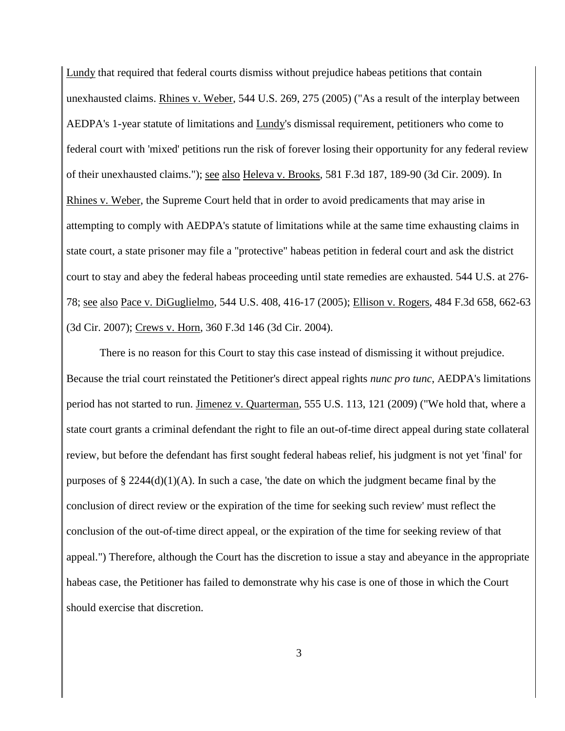Lundy that required that federal courts dismiss without prejudice habeas petitions that contain unexhausted claims. Rhines v. Weber, 544 U.S. 269, 275 (2005) ("As a result of the interplay between AEDPA's 1-year statute of limitations and Lundy's dismissal requirement, petitioners who come to federal court with 'mixed' petitions run the risk of forever losing their opportunity for any federal review of their unexhausted claims."); see also Heleva v. Brooks, 581 F.3d 187, 189-90 (3d Cir. 2009). In Rhines v. Weber, the Supreme Court held that in order to avoid predicaments that may arise in attempting to comply with AEDPA's statute of limitations while at the same time exhausting claims in state court, a state prisoner may file a "protective" habeas petition in federal court and ask the district court to stay and abey the federal habeas proceeding until state remedies are exhausted. 544 U.S. at 276- 78; see also Pace v. DiGuglielmo, 544 U.S. 408, 416-17 (2005); Ellison v. Rogers, 484 F.3d 658, 662-63 (3d Cir. 2007); Crews v. Horn, 360 F.3d 146 (3d Cir. 2004).

There is no reason for this Court to stay this case instead of dismissing it without prejudice. Because the trial court reinstated the Petitioner's direct appeal rights *nunc pro tunc*, AEDPA's limitations period has not started to run. Jimenez v. Quarterman, 555 U.S. 113, 121 (2009) ("We hold that, where a state court grants a criminal defendant the right to file an out-of-time direct appeal during state collateral review, but before the defendant has first sought federal habeas relief, his judgment is not yet 'final' for purposes of  $\S 2244(d)(1)(A)$ . In such a case, 'the date on which the judgment became final by the conclusion of direct review or the expiration of the time for seeking such review' must reflect the conclusion of the out-of-time direct appeal, or the expiration of the time for seeking review of that appeal.") Therefore, although the Court has the discretion to issue a stay and abeyance in the appropriate habeas case, the Petitioner has failed to demonstrate why his case is one of those in which the Court should exercise that discretion.